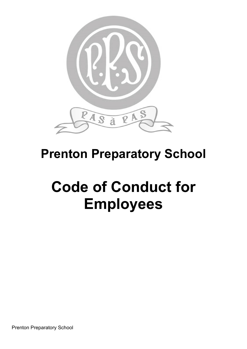

# **Prenton Preparatory School**

# **Code of Conduct for Employees**

Prenton Preparatory School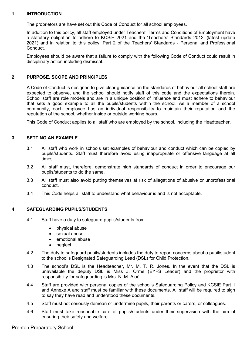# **1 INTRODUCTION**

The proprietors are have set out this Code of Conduct for all school employees.

In addition to this policy, all staff employed under Teachers' Terms and Conditions of Employment have a statutory obligation to adhere to KCSiE 2021 and the 'Teachers' Standards 2012' (latest update 2021) and in relation to this policy, Part 2 of the Teachers' Standards - Personal and Professional **Conduct** 

Employees should be aware that a failure to comply with the following Code of Conduct could result in disciplinary action including dismissal.

# **2 PURPOSE, SCOPE AND PRINCIPLES**

A Code of Conduct is designed to give clear guidance on the standards of behaviour all school staff are expected to observe, and the school should notify staff of this code and the expectations therein. School staff are role models and are in a unique position of influence and must adhere to behaviour that sets a good example to all the pupils/students within the school. As a member of a school community, each employee has an individual responsibility to maintain their reputation and the reputation of the school, whether inside or outside working hours.

This Code of Conduct applies to all staff who are employed by the school, including the Headteacher.

# **3 SETTING AN EXAMPLE**

- 3.1 All staff who work in schools set examples of behaviour and conduct which can be copied by pupils/students. Staff must therefore avoid using inappropriate or offensive language at all times.
- 3.2 All staff must, therefore, demonstrate high standards of conduct in order to encourage our pupils/students to do the same.
- 3.3 All staff must also avoid putting themselves at risk of allegations of abusive or unprofessional conduct.
- 3.4 This Code helps all staff to understand what behaviour is and is not acceptable.

# **4 SAFEGUARDING PUPILS/STUDENTS**

- 4.1 Staff have a duty to safeguard pupils/students from:
	- physical abuse
	- sexual abuse
	- emotional abuse
	- neglect
- 4.2 The duty to safeguard pupils/students includes the duty to report concerns about a pupil/student to the school's Designated Safeguarding Lead (DSL) for Child Protection.
- 4.3 The school's DSL is the Headteacher, Mr. M. T. R. Jones. In the event that the DSL is unavailable the deputy DSL is Miss J. Orme (EYFS Leader) and the proprietor with responsibility for safeguarding is Mrs. N. M. Aloé.
- 4.4 Staff are provided with personal copies of the school's Safeguarding Policy and KCSiE Part 1 and Annexe A and staff must be familiar with these documents. All staff will be required to sign to say they have read and understood these documents.
- 4.5 Staff must not seriously demean or undermine pupils, their parents or carers, or colleagues.
- 4.6 Staff must take reasonable care of pupils/students under their supervision with the aim of ensuring their safety and welfare.

Prenton Preparatory School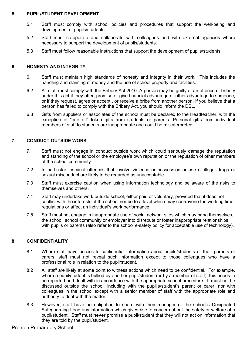#### **5 PUPIL/STUDENT DEVELOPMENT**

- 5.1 Staff must comply with school policies and procedures that support the well-being and development of pupils/students.
- 5.2 Staff must co-operate and collaborate with colleagues and with external agencies where necessary to support the development of pupils/students.
- 5.3 Staff must follow reasonable instructions that support the development of pupils/students.

#### **6 HONESTY AND INTEGRITY**

- 6.1 Staff must maintain high standards of honesty and integrity in their work. This includes the handling and claiming of money and the use of school property and facilities.
- 6.2 All staff must comply with the Bribery Act 2010. A person may be guilty of an offence of bribery under this act if they offer, promise or give financial advantage or other advantage to someone; or if they request, agree or accept , or receive a bribe from another person. If you believe that a person has failed to comply with the Bribery Act, you should inform the DSL.
- 6.3 Gifts from suppliers or associates of the school must be declared to the Headteacher, with the exception of "one off" token gifts from students or parents. Personal gifts from individual members of staff to students are inappropriate and could be misinterpreted.

# **7 CONDUCT OUTSIDE WORK**

- 7.1 Staff must not engage in conduct outside work which could seriously damage the reputation and standing of the school or the employee's own reputation or the reputation of other members of the school community.
- 7.2 In particular, criminal offences that involve violence or possession or use of illegal drugs or sexual misconduct are likely to be regarded as unacceptable.
- 7.3 Staff must exercise caution when using information technology and be aware of the risks to themselves and others.
- 7.4 Staff may undertake work outside school, either paid or voluntary, provided that it does not conflict with the interests of the school nor be to a level which may contravene the working time regulations or affect an individual's work performance.
- 7.5 Staff must not engage in inappropriate use of social network sites which may bring themselves, the school, school community or employer into disrepute or foster inappropriate relationships with pupils or parents (also refer to the school e-safety policy for acceptable use of technology).

# **8 CONFIDENTIALITY**

- 8.1 Where staff have access to confidential information about pupils/students or their parents or carers, staff must not reveal such information except to those colleagues who have a professional role in relation to the pupil/student.
- 8.2 All staff are likely at some point to witness actions which need to be confidential. For example, where a pupil/student is bullied by another pupil/student (or by a member of staff), this needs to be reported and dealt with in accordance with the appropriate school procedure. It must not be discussed outside the school, including with the pupil's/student's parent or carer, nor with colleagues in the school except with a senior member of staff with the appropriate role and authority to deal with the matter.
- 8.3 However, staff have an obligation to share with their manager or the school's Designated Safeguarding Lead any information which gives rise to concern about the safety or welfare of a pupil/student. Staff must **never** promise a pupil/student that they will not act on information that they are told by the pupil/student.

Prenton Preparatory School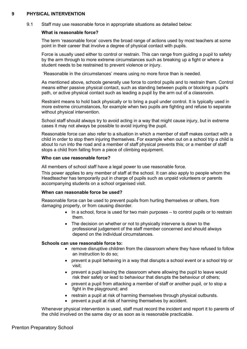#### **9 PHYSICAL INTERVENTION**

9.1 Staff may use reasonable force in appropriate situations as detailed below:

#### **What is reasonable force?**

The term 'reasonable force' covers the broad range of actions used by most teachers at some point in their career that involve a degree of physical contact with pupils.

Force is usually used either to control or restrain. This can range from guiding a pupil to safety by the arm through to more extreme circumstances such as breaking up a fight or where a student needs to be restrained to prevent violence or injury.

'Reasonable in the circumstances' means using no more force than is needed.

As mentioned above, schools generally use force to control pupils and to restrain them. Control means either passive physical contact, such as standing between pupils or blocking a pupil's path, or active physical contact such as leading a pupil by the arm out of a classroom.

Restraint means to hold back physically or to bring a pupil under control. It is typically used in more extreme circumstances, for example when two pupils are fighting and refuse to separate without physical intervention.

School staff should always try to avoid acting in a way that might cause injury, but in extreme cases it may not always be possible to avoid injuring the pupil.

Reasonable force can also refer to a situation in which a member of staff makes contact with a child in order to stop them injuring themselves. For example when out on a school trip a child is about to run into the road and a member of staff physical prevents this; or a member of staff stops a child from falling from a piece of climbing equipment.

#### **Who can use reasonable force?**

All members of school staff have a legal power to use reasonable force.

This power applies to any member of staff at the school. It can also apply to people whom the Headteacher has temporarily put in charge of pupils such as unpaid volunteers or parents accompanying students on a school organised visit.

#### **When can reasonable force be used?**

Reasonable force can be used to prevent pupils from hurting themselves or others, from damaging property, or from causing disorder.

- In a school, force is used for two main purposes to control pupils or to restrain them.
- The decision on whether or not to physically intervene is down to the professional judgement of the staff member concerned and should always depend on the individual circumstances.

#### **Schools can use reasonable force to:**

- remove disruptive children from the classroom where they have refused to follow an instruction to do so;
- prevent a pupil behaving in a way that disrupts a school event or a school trip or visit;
- prevent a pupil leaving the classroom where allowing the pupil to leave would risk their safety or lead to behaviour that disrupts the behaviour of others;
- prevent a pupil from attacking a member of staff or another pupil, or to stop a fight in the playground; and
- restrain a pupil at risk of harming themselves through physical outbursts.
- prevent a pupil at risk of harming themselves by accident.

Whenever physical intervention is used, staff must record the incident and report it to parents of the child involved on the same day or as soon as is reasonable practicable.